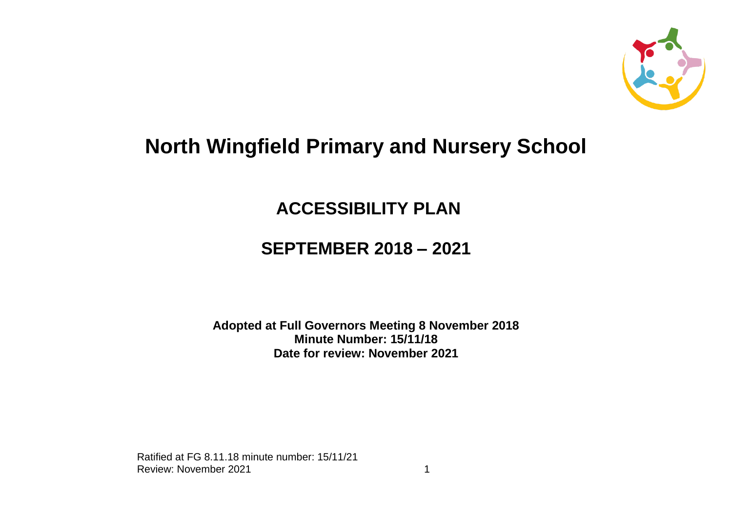

# **North Wingfield Primary and Nursery School**

### **ACCESSIBILITY PLAN**

## **SEPTEMBER 2018 – 2021**

#### **Adopted at Full Governors Meeting 8 November 2018 Minute Number: 15/11/18 Date for review: November 2021**

Ratified at FG 8.11.18 minute number: 15/11/21 Review: November 2021 1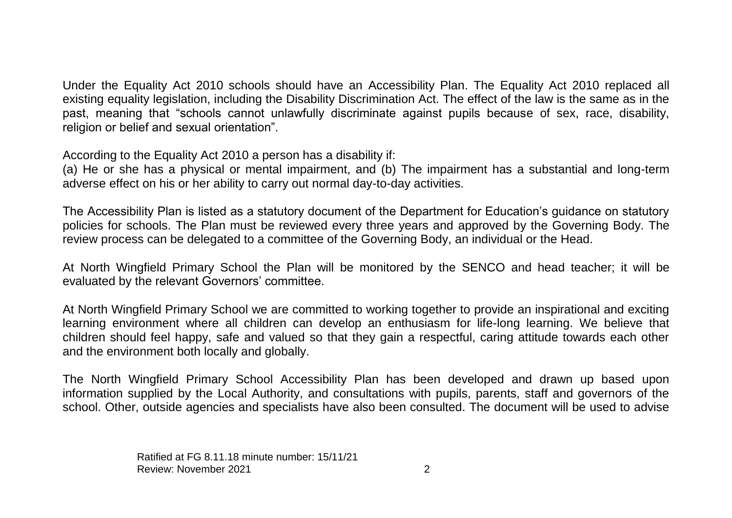Under the Equality Act 2010 schools should have an Accessibility Plan. The Equality Act 2010 replaced all existing equality legislation, including the Disability Discrimination Act. The effect of the law is the same as in the past, meaning that "schools cannot unlawfully discriminate against pupils because of sex, race, disability, religion or belief and sexual orientation".

According to the Equality Act 2010 a person has a disability if:

(a) He or she has a physical or mental impairment, and (b) The impairment has a substantial and long-term adverse effect on his or her ability to carry out normal day-to-day activities.

The Accessibility Plan is listed as a statutory document of the Department for Education's guidance on statutory policies for schools. The Plan must be reviewed every three years and approved by the Governing Body. The review process can be delegated to a committee of the Governing Body, an individual or the Head.

At North Wingfield Primary School the Plan will be monitored by the SENCO and head teacher; it will be evaluated by the relevant Governors' committee.

At North Wingfield Primary School we are committed to working together to provide an inspirational and exciting learning environment where all children can develop an enthusiasm for life-long learning. We believe that children should feel happy, safe and valued so that they gain a respectful, caring attitude towards each other and the environment both locally and globally.

The North Wingfield Primary School Accessibility Plan has been developed and drawn up based upon information supplied by the Local Authority, and consultations with pupils, parents, staff and governors of the school. Other, outside agencies and specialists have also been consulted. The document will be used to advise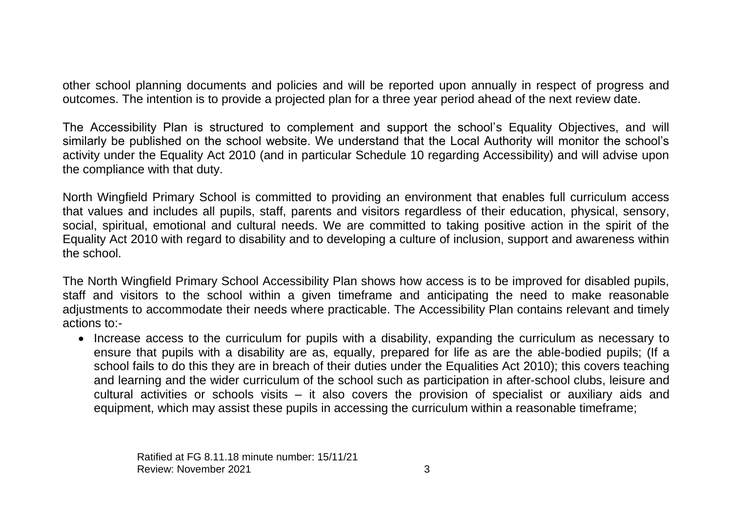other school planning documents and policies and will be reported upon annually in respect of progress and outcomes. The intention is to provide a projected plan for a three year period ahead of the next review date.

The Accessibility Plan is structured to complement and support the school's Equality Objectives, and will similarly be published on the school website. We understand that the Local Authority will monitor the school's activity under the Equality Act 2010 (and in particular Schedule 10 regarding Accessibility) and will advise upon the compliance with that duty.

North Wingfield Primary School is committed to providing an environment that enables full curriculum access that values and includes all pupils, staff, parents and visitors regardless of their education, physical, sensory, social, spiritual, emotional and cultural needs. We are committed to taking positive action in the spirit of the Equality Act 2010 with regard to disability and to developing a culture of inclusion, support and awareness within the school.

The North Wingfield Primary School Accessibility Plan shows how access is to be improved for disabled pupils, staff and visitors to the school within a given timeframe and anticipating the need to make reasonable adjustments to accommodate their needs where practicable. The Accessibility Plan contains relevant and timely actions to:-

• Increase access to the curriculum for pupils with a disability, expanding the curriculum as necessary to ensure that pupils with a disability are as, equally, prepared for life as are the able-bodied pupils; (If a school fails to do this they are in breach of their duties under the Equalities Act 2010); this covers teaching and learning and the wider curriculum of the school such as participation in after-school clubs, leisure and cultural activities or schools visits – it also covers the provision of specialist or auxiliary aids and equipment, which may assist these pupils in accessing the curriculum within a reasonable timeframe;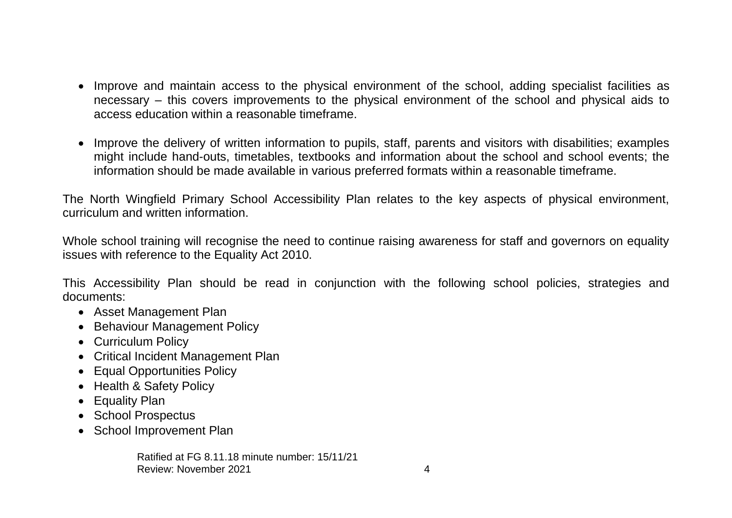- Improve and maintain access to the physical environment of the school, adding specialist facilities as necessary – this covers improvements to the physical environment of the school and physical aids to access education within a reasonable timeframe.
- Improve the delivery of written information to pupils, staff, parents and visitors with disabilities; examples might include hand-outs, timetables, textbooks and information about the school and school events; the information should be made available in various preferred formats within a reasonable timeframe.

The North Wingfield Primary School Accessibility Plan relates to the key aspects of physical environment, curriculum and written information.

Whole school training will recognise the need to continue raising awareness for staff and governors on equality issues with reference to the Equality Act 2010.

This Accessibility Plan should be read in conjunction with the following school policies, strategies and documents:

- Asset Management Plan
- Behaviour Management Policy
- Curriculum Policy
- Critical Incident Management Plan
- Equal Opportunities Policy
- Health & Safety Policy
- Equality Plan
- School Prospectus
- School Improvement Plan

Ratified at FG 8.11.18 minute number: 15/11/21 Review: November 2021 **4** and the set of the set of the set of the set of the set of the set of the set of the set of the set of the set of the set of the set of the set of the set of the set of the set of the set of the s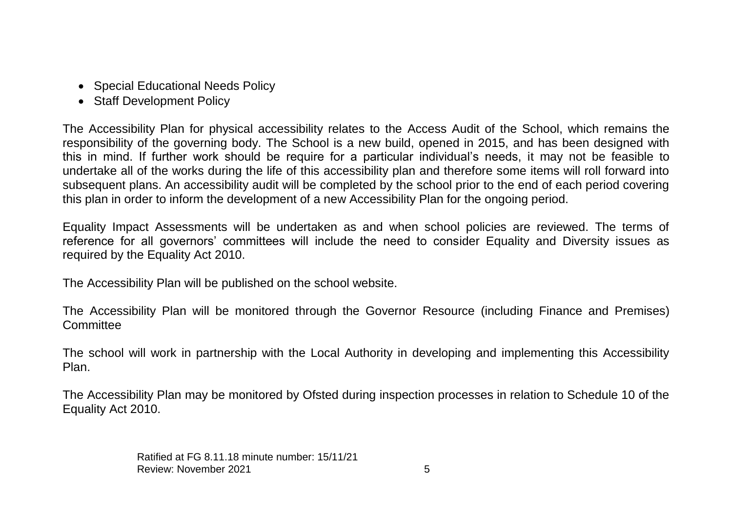- Special Educational Needs Policy
- Staff Development Policy

The Accessibility Plan for physical accessibility relates to the Access Audit of the School, which remains the responsibility of the governing body. The School is a new build, opened in 2015, and has been designed with this in mind. If further work should be require for a particular individual's needs, it may not be feasible to undertake all of the works during the life of this accessibility plan and therefore some items will roll forward into subsequent plans. An accessibility audit will be completed by the school prior to the end of each period covering this plan in order to inform the development of a new Accessibility Plan for the ongoing period.

Equality Impact Assessments will be undertaken as and when school policies are reviewed. The terms of reference for all governors' committees will include the need to consider Equality and Diversity issues as required by the Equality Act 2010.

The Accessibility Plan will be published on the school website.

The Accessibility Plan will be monitored through the Governor Resource (including Finance and Premises) **Committee** 

The school will work in partnership with the Local Authority in developing and implementing this Accessibility Plan.

The Accessibility Plan may be monitored by Ofsted during inspection processes in relation to Schedule 10 of the Equality Act 2010.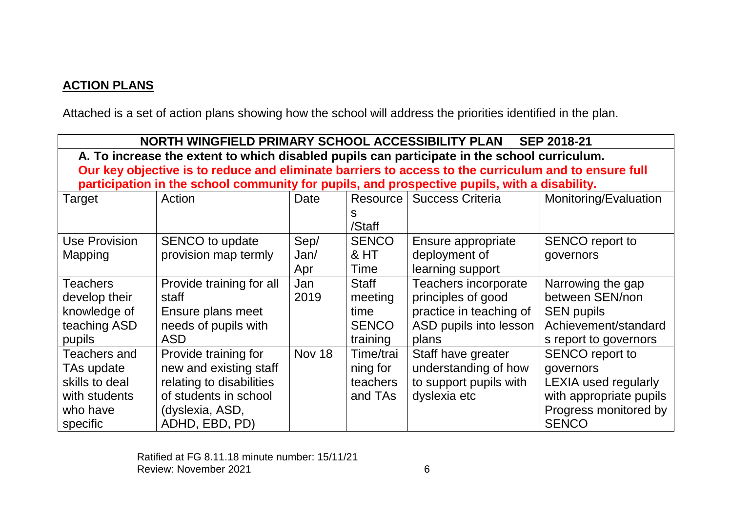#### **ACTION PLANS**

Attached is a set of action plans showing how the school will address the priorities identified in the plan.

| NORTH WINGFIELD PRIMARY SCHOOL ACCESSIBILITY PLAN<br><b>SEP 2018-21</b>                              |                          |               |              |                         |                             |  |  |
|------------------------------------------------------------------------------------------------------|--------------------------|---------------|--------------|-------------------------|-----------------------------|--|--|
| A. To increase the extent to which disabled pupils can participate in the school curriculum.         |                          |               |              |                         |                             |  |  |
| Our key objective is to reduce and eliminate barriers to access to the curriculum and to ensure full |                          |               |              |                         |                             |  |  |
| participation in the school community for pupils, and prospective pupils, with a disability.         |                          |               |              |                         |                             |  |  |
| Target                                                                                               | Action                   | Date          | Resource     | <b>Success Criteria</b> | Monitoring/Evaluation       |  |  |
|                                                                                                      |                          |               | S            |                         |                             |  |  |
|                                                                                                      |                          |               | /Staff       |                         |                             |  |  |
| <b>Use Provision</b>                                                                                 | SENCO to update          | Sep/          | <b>SENCO</b> | Ensure appropriate      | <b>SENCO</b> report to      |  |  |
| Mapping                                                                                              | provision map termly     | Jan/          | & HT         | deployment of           | governors                   |  |  |
|                                                                                                      |                          | Apr           | Time         | learning support        |                             |  |  |
| Teachers                                                                                             | Provide training for all | Jan           | <b>Staff</b> | Teachers incorporate    | Narrowing the gap           |  |  |
| develop their                                                                                        | staff                    | 2019          | meeting      | principles of good      | between SEN/non             |  |  |
| knowledge of                                                                                         | Ensure plans meet        |               | time         | practice in teaching of | <b>SEN pupils</b>           |  |  |
| teaching ASD                                                                                         | needs of pupils with     |               | <b>SENCO</b> | ASD pupils into lesson  | Achievement/standard        |  |  |
| pupils                                                                                               | <b>ASD</b>               |               | training     | plans                   | s report to governors       |  |  |
| <b>Teachers and</b>                                                                                  | Provide training for     | <b>Nov 18</b> | Time/trai    | Staff have greater      | SENCO report to             |  |  |
| TAs update                                                                                           | new and existing staff   |               | ning for     | understanding of how    | governors                   |  |  |
| skills to deal                                                                                       | relating to disabilities |               | teachers     | to support pupils with  | <b>LEXIA used regularly</b> |  |  |
| with students                                                                                        | of students in school    |               | and TAs      | dyslexia etc            | with appropriate pupils     |  |  |
| who have                                                                                             | (dyslexia, ASD,          |               |              |                         | Progress monitored by       |  |  |
| specific                                                                                             | ADHD, EBD, PD)           |               |              |                         | <b>SENCO</b>                |  |  |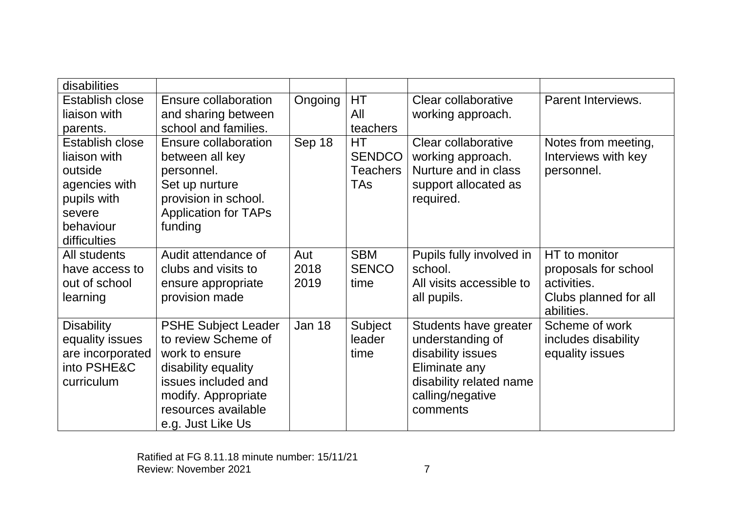| disabilities           |                             |               |                 |                          |                       |
|------------------------|-----------------------------|---------------|-----------------|--------------------------|-----------------------|
| <b>Establish close</b> | Ensure collaboration        | Ongoing       | НT              | Clear collaborative      | Parent Interviews.    |
| liaison with           | and sharing between         |               | All             | working approach.        |                       |
| parents.               | school and families.        |               | teachers        |                          |                       |
| <b>Establish close</b> | Ensure collaboration        | Sep 18        | <b>HT</b>       | Clear collaborative      | Notes from meeting,   |
| liaison with           | between all key             |               | <b>SENDCO</b>   | working approach.        | Interviews with key   |
| outside                | personnel.                  |               | <b>Teachers</b> | Nurture and in class     | personnel.            |
| agencies with          | Set up nurture              |               | <b>TAs</b>      | support allocated as     |                       |
| pupils with            | provision in school.        |               |                 | required.                |                       |
| severe                 | <b>Application for TAPs</b> |               |                 |                          |                       |
| behaviour              | funding                     |               |                 |                          |                       |
| difficulties           |                             |               |                 |                          |                       |
| All students           | Audit attendance of         | Aut           | <b>SBM</b>      | Pupils fully involved in | HT to monitor         |
| have access to         | clubs and visits to         | 2018          | <b>SENCO</b>    | school.                  | proposals for school  |
| out of school          | ensure appropriate          | 2019          | time            | All visits accessible to | activities.           |
| learning               | provision made              |               |                 | all pupils.              | Clubs planned for all |
|                        |                             |               |                 |                          | abilities.            |
| <b>Disability</b>      | <b>PSHE Subject Leader</b>  | <b>Jan 18</b> | Subject         | Students have greater    | Scheme of work        |
| equality issues        | to review Scheme of         |               | leader          | understanding of         | includes disability   |
| are incorporated       | work to ensure              |               | time            | disability issues        | equality issues       |
| into PSHE&C            | disability equality         |               |                 | Eliminate any            |                       |
| curriculum             | issues included and         |               |                 | disability related name  |                       |
|                        | modify. Appropriate         |               |                 | calling/negative         |                       |
|                        | resources available         |               |                 | comments                 |                       |
|                        | e.g. Just Like Us           |               |                 |                          |                       |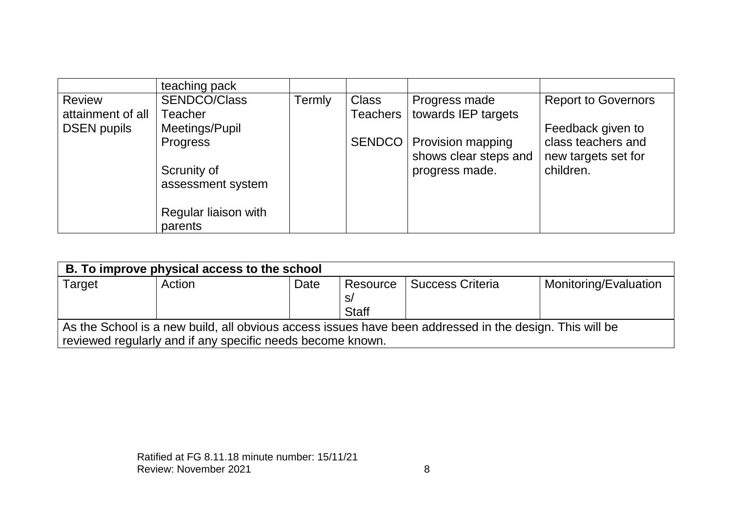|                    | teaching pack                    |        |                       |                                                   |                                           |
|--------------------|----------------------------------|--------|-----------------------|---------------------------------------------------|-------------------------------------------|
| <b>Review</b>      | <b>SENDCO/Class</b>              | Termly | <b>Class</b>          | Progress made                                     | <b>Report to Governors</b>                |
| attainment of all  | Teacher                          |        | Teachers <sup>1</sup> | towards IEP targets                               |                                           |
| <b>DSEN pupils</b> | Meetings/Pupil                   |        |                       |                                                   | Feedback given to                         |
|                    | <b>Progress</b>                  |        | SENDCO                | <b>Provision mapping</b><br>shows clear steps and | class teachers and<br>new targets set for |
|                    | Scrunity of<br>assessment system |        |                       | progress made.                                    | children.                                 |
|                    | Regular liaison with<br>parents  |        |                       |                                                   |                                           |

| B. To improve physical access to the school                                                             |        |      |                                |                         |                       |  |  |
|---------------------------------------------------------------------------------------------------------|--------|------|--------------------------------|-------------------------|-----------------------|--|--|
| Target                                                                                                  | Action | Date | Resource<br>S/<br><b>Staff</b> | <b>Success Criteria</b> | Monitoring/Evaluation |  |  |
| As the School is a new build, all obvious access issues have been addressed in the design. This will be |        |      |                                |                         |                       |  |  |
| reviewed regularly and if any specific needs become known.                                              |        |      |                                |                         |                       |  |  |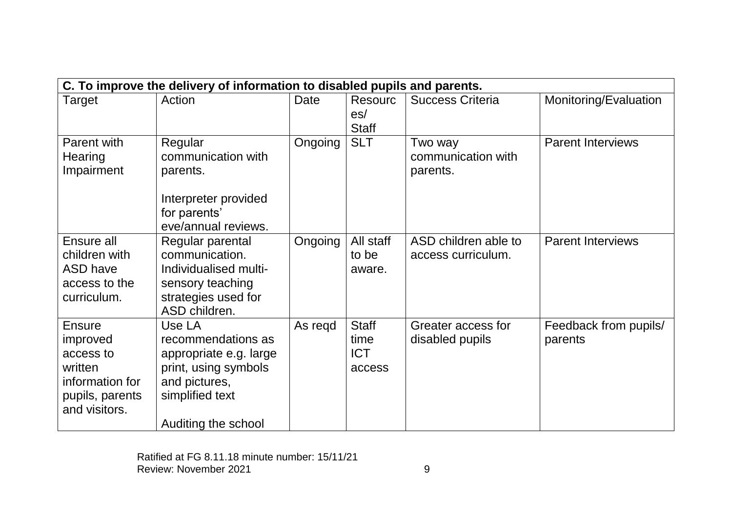| C. To improve the delivery of information to disabled pupils and parents.                                |                                                                                                                                           |         |                                              |                                            |                                  |  |
|----------------------------------------------------------------------------------------------------------|-------------------------------------------------------------------------------------------------------------------------------------------|---------|----------------------------------------------|--------------------------------------------|----------------------------------|--|
| Target                                                                                                   | Action                                                                                                                                    | Date    | <b>Resourc</b><br>es/<br><b>Staff</b>        | <b>Success Criteria</b>                    | Monitoring/Evaluation            |  |
| Parent with<br>Hearing<br>Impairment                                                                     | Regular<br>communication with<br>parents.<br>Interpreter provided<br>for parents'<br>eve/annual reviews.                                  | Ongoing | <b>SLT</b>                                   | Two way<br>communication with<br>parents.  | <b>Parent Interviews</b>         |  |
| Ensure all<br>children with<br>ASD have<br>access to the<br>curriculum.                                  | Regular parental<br>communication.<br>Individualised multi-<br>sensory teaching<br>strategies used for<br>ASD children.                   | Ongoing | All staff<br>to be<br>aware.                 | ASD children able to<br>access curriculum. | <b>Parent Interviews</b>         |  |
| <b>Ensure</b><br>improved<br>access to<br>written<br>information for<br>pupils, parents<br>and visitors. | Use LA<br>recommendations as<br>appropriate e.g. large<br>print, using symbols<br>and pictures,<br>simplified text<br>Auditing the school | As regd | <b>Staff</b><br>time<br><b>ICT</b><br>access | Greater access for<br>disabled pupils      | Feedback from pupils/<br>parents |  |